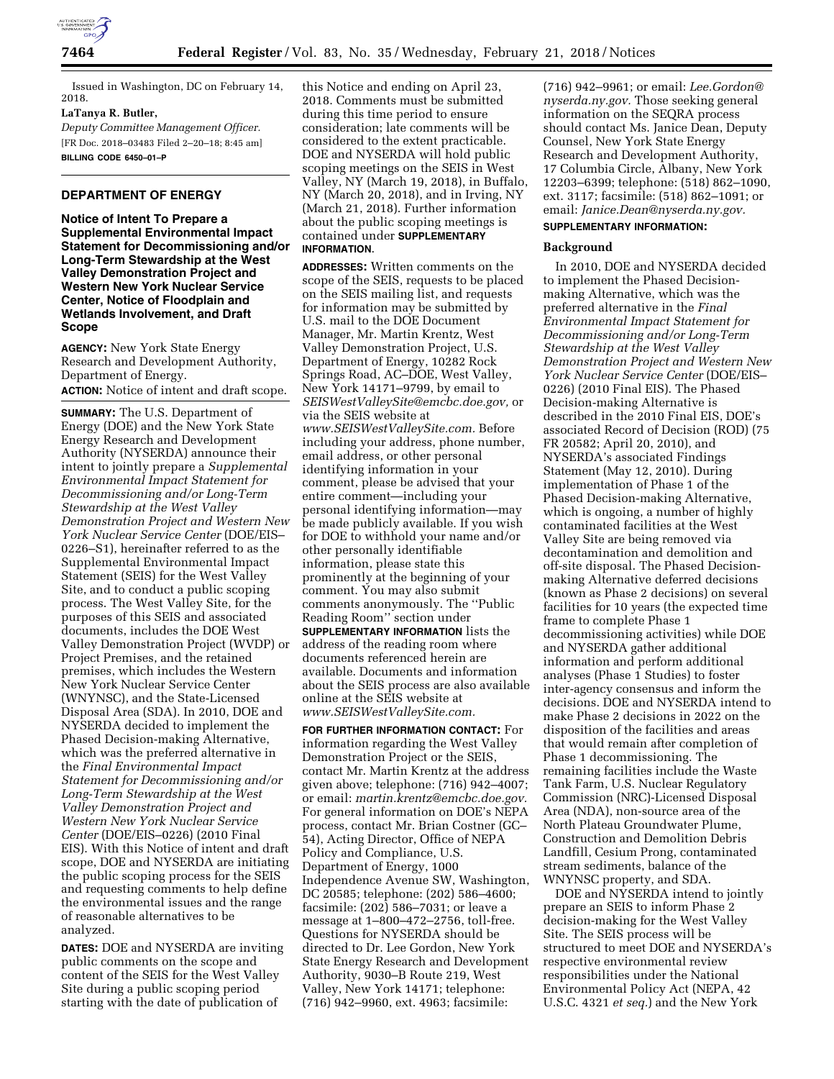

Issued in Washington, DC on February 14, 2018.

# **LaTanya R. Butler,**

*Deputy Committee Management Officer.*  [FR Doc. 2018–03483 Filed 2–20–18; 8:45 am] **BILLING CODE 6450–01–P** 

# **DEPARTMENT OF ENERGY**

**Notice of Intent To Prepare a Supplemental Environmental Impact Statement for Decommissioning and/or Long-Term Stewardship at the West Valley Demonstration Project and Western New York Nuclear Service Center, Notice of Floodplain and Wetlands Involvement, and Draft Scope** 

**AGENCY:** New York State Energy Research and Development Authority, Department of Energy. **ACTION:** Notice of intent and draft scope.

**SUMMARY:** The U.S. Department of Energy (DOE) and the New York State Energy Research and Development Authority (NYSERDA) announce their intent to jointly prepare a *Supplemental Environmental Impact Statement for Decommissioning and/or Long-Term Stewardship at the West Valley Demonstration Project and Western New York Nuclear Service Center* (DOE/EIS– 0226–S1), hereinafter referred to as the Supplemental Environmental Impact Statement (SEIS) for the West Valley Site, and to conduct a public scoping process. The West Valley Site, for the purposes of this SEIS and associated documents, includes the DOE West Valley Demonstration Project (WVDP) or Project Premises, and the retained premises, which includes the Western New York Nuclear Service Center (WNYNSC), and the State-Licensed Disposal Area (SDA). In 2010, DOE and NYSERDA decided to implement the Phased Decision-making Alternative, which was the preferred alternative in the *Final Environmental Impact Statement for Decommissioning and/or Long-Term Stewardship at the West Valley Demonstration Project and Western New York Nuclear Service Center* (DOE/EIS–0226) (2010 Final EIS). With this Notice of intent and draft scope, DOE and NYSERDA are initiating the public scoping process for the SEIS and requesting comments to help define the environmental issues and the range of reasonable alternatives to be analyzed.

**DATES:** DOE and NYSERDA are inviting public comments on the scope and content of the SEIS for the West Valley Site during a public scoping period starting with the date of publication of

this Notice and ending on April 23, 2018. Comments must be submitted during this time period to ensure consideration; late comments will be considered to the extent practicable. DOE and NYSERDA will hold public scoping meetings on the SEIS in West Valley, NY (March 19, 2018), in Buffalo, NY (March 20, 2018), and in Irving, NY (March 21, 2018). Further information about the public scoping meetings is contained under **SUPPLEMENTARY INFORMATION**.

**ADDRESSES:** Written comments on the scope of the SEIS, requests to be placed on the SEIS mailing list, and requests for information may be submitted by U.S. mail to the DOE Document Manager, Mr. Martin Krentz, West Valley Demonstration Project, U.S. Department of Energy, 10282 Rock Springs Road, AC–DOE, West Valley, New York 14171–9799, by email to *[SEISWestValleySite@emcbc.doe.gov,](mailto:SEISWestValleySite@emcbc.doe.gov)* or via the SEIS website at *[www.SEISWestValleySite.com.](http://www.SEISWestValleySite.com)* Before including your address, phone number, email address, or other personal identifying information in your comment, please be advised that your entire comment—including your personal identifying information—may be made publicly available. If you wish for DOE to withhold your name and/or other personally identifiable information, please state this prominently at the beginning of your comment. You may also submit comments anonymously. The ''Public Reading Room'' section under **SUPPLEMENTARY INFORMATION** lists the address of the reading room where documents referenced herein are available. Documents and information about the SEIS process are also available online at the SEIS website at *[www.SEISWestValleySite.com.](http://www.SEISWestValleySite.com)* 

**FOR FURTHER INFORMATION CONTACT:** For information regarding the West Valley Demonstration Project or the SEIS, contact Mr. Martin Krentz at the address given above; telephone: (716) 942–4007; or email: *[martin.krentz@emcbc.doe.gov.](mailto:martin.krentz@emcbc.doe.gov)*  For general information on DOE's NEPA process, contact Mr. Brian Costner (GC– 54), Acting Director, Office of NEPA Policy and Compliance, U.S. Department of Energy, 1000 Independence Avenue SW, Washington, DC 20585; telephone: (202) 586–4600; facsimile: (202) 586–7031; or leave a message at 1–800–472–2756, toll-free. Questions for NYSERDA should be directed to Dr. Lee Gordon, New York State Energy Research and Development Authority, 9030–B Route 219, West Valley, New York 14171; telephone: (716) 942–9960, ext. 4963; facsimile:

(716) 942–9961; or email: *[Lee.Gordon@](mailto:Lee.Gordon@nyserda.ny.gov) [nyserda.ny.gov.](mailto:Lee.Gordon@nyserda.ny.gov)* Those seeking general information on the SEQRA process should contact Ms. Janice Dean, Deputy Counsel, New York State Energy Research and Development Authority, 17 Columbia Circle, Albany, New York 12203–6399; telephone: (518) 862–1090, ext. 3117; facsimile: (518) 862–1091; or email: *[Janice.Dean@nyserda.ny.gov.](mailto:Janice.Dean@nyserda.ny.gov)* 

# **SUPPLEMENTARY INFORMATION:**

#### **Background**

In 2010, DOE and NYSERDA decided to implement the Phased Decisionmaking Alternative, which was the preferred alternative in the *Final Environmental Impact Statement for Decommissioning and/or Long-Term Stewardship at the West Valley Demonstration Project and Western New York Nuclear Service Center* (DOE/EIS– 0226) (2010 Final EIS). The Phased Decision-making Alternative is described in the 2010 Final EIS, DOE's associated Record of Decision (ROD) (75 FR 20582; April 20, 2010), and NYSERDA's associated Findings Statement (May 12, 2010). During implementation of Phase 1 of the Phased Decision-making Alternative, which is ongoing, a number of highly contaminated facilities at the West Valley Site are being removed via decontamination and demolition and off-site disposal. The Phased Decisionmaking Alternative deferred decisions (known as Phase 2 decisions) on several facilities for 10 years (the expected time frame to complete Phase 1 decommissioning activities) while DOE and NYSERDA gather additional information and perform additional analyses (Phase 1 Studies) to foster inter-agency consensus and inform the decisions. DOE and NYSERDA intend to make Phase 2 decisions in 2022 on the disposition of the facilities and areas that would remain after completion of Phase 1 decommissioning. The remaining facilities include the Waste Tank Farm, U.S. Nuclear Regulatory Commission (NRC)-Licensed Disposal Area (NDA), non-source area of the North Plateau Groundwater Plume, Construction and Demolition Debris Landfill, Cesium Prong, contaminated stream sediments, balance of the WNYNSC property, and SDA.

DOE and NYSERDA intend to jointly prepare an SEIS to inform Phase 2 decision-making for the West Valley Site. The SEIS process will be structured to meet DOE and NYSERDA's respective environmental review responsibilities under the National Environmental Policy Act (NEPA, 42 U.S.C. 4321 *et seq.*) and the New York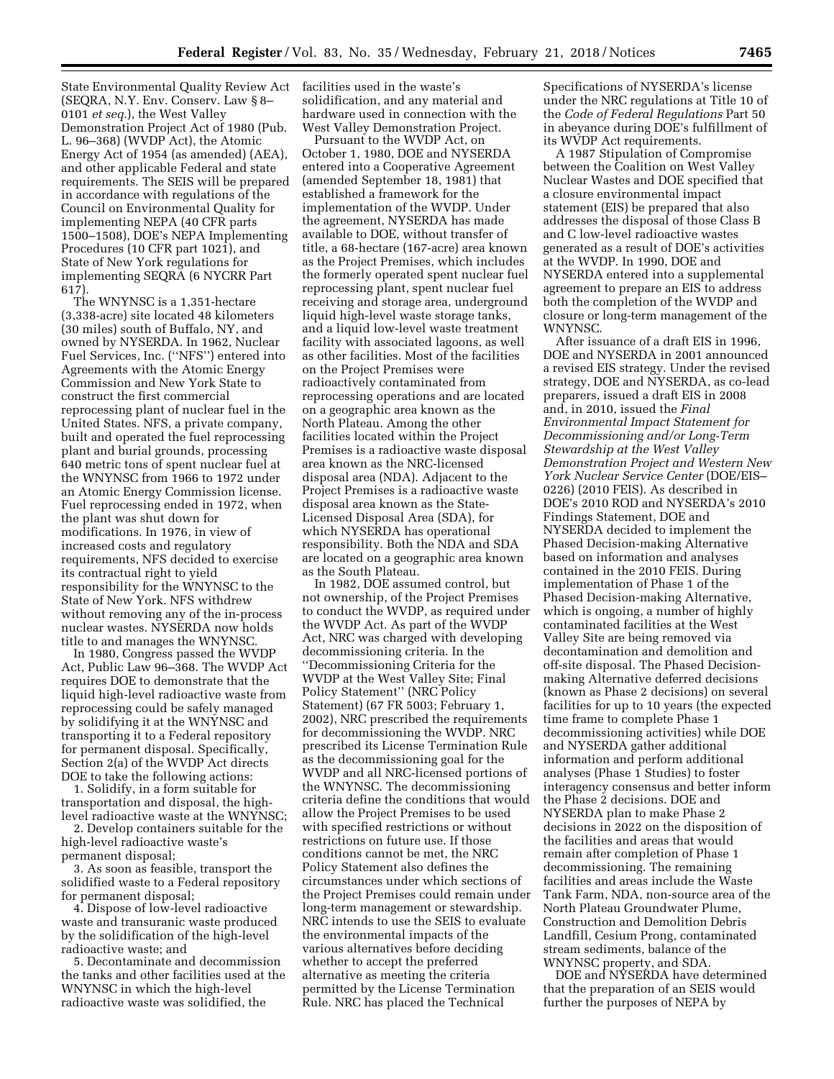State Environmental Quality Review Act facilities used in the waste's (SEQRA, N.Y. Env. Conserv. Law § 8– 0101 *et seq.*), the West Valley Demonstration Project Act of 1980 (Pub. L. 96–368) (WVDP Act), the Atomic Energy Act of 1954 (as amended) (AEA), and other applicable Federal and state requirements. The SEIS will be prepared in accordance with regulations of the Council on Environmental Quality for implementing NEPA (40 CFR parts 1500–1508), DOE's NEPA Implementing Procedures (10 CFR part 1021), and State of New York regulations for implementing SEQRA (6 NYCRR Part 617).

The WNYNSC is a 1,351-hectare (3,338-acre) site located 48 kilometers (30 miles) south of Buffalo, NY, and owned by NYSERDA. In 1962, Nuclear Fuel Services, Inc. (''NFS'') entered into Agreements with the Atomic Energy Commission and New York State to construct the first commercial reprocessing plant of nuclear fuel in the United States. NFS, a private company, built and operated the fuel reprocessing plant and burial grounds, processing 640 metric tons of spent nuclear fuel at the WNYNSC from 1966 to 1972 under an Atomic Energy Commission license. Fuel reprocessing ended in 1972, when the plant was shut down for modifications. In 1976, in view of increased costs and regulatory requirements, NFS decided to exercise its contractual right to yield responsibility for the WNYNSC to the State of New York. NFS withdrew without removing any of the in-process nuclear wastes. NYSERDA now holds title to and manages the WNYNSC.

In 1980, Congress passed the WVDP Act, Public Law 96–368. The WVDP Act requires DOE to demonstrate that the liquid high-level radioactive waste from reprocessing could be safely managed by solidifying it at the WNYNSC and transporting it to a Federal repository for permanent disposal. Specifically, Section 2(a) of the WVDP Act directs DOE to take the following actions:

1. Solidify, in a form suitable for transportation and disposal, the highlevel radioactive waste at the WNYNSC;

2. Develop containers suitable for the high-level radioactive waste's permanent disposal;

3. As soon as feasible, transport the solidified waste to a Federal repository for permanent disposal;

4. Dispose of low-level radioactive waste and transuranic waste produced by the solidification of the high-level radioactive waste; and

5. Decontaminate and decommission the tanks and other facilities used at the WNYNSC in which the high-level radioactive waste was solidified, the

solidification, and any material and hardware used in connection with the West Valley Demonstration Project.

Pursuant to the WVDP Act, on October 1, 1980, DOE and NYSERDA entered into a Cooperative Agreement (amended September 18, 1981) that established a framework for the implementation of the WVDP. Under the agreement, NYSERDA has made available to DOE, without transfer of title, a 68-hectare (167-acre) area known as the Project Premises, which includes the formerly operated spent nuclear fuel reprocessing plant, spent nuclear fuel receiving and storage area, underground liquid high-level waste storage tanks, and a liquid low-level waste treatment facility with associated lagoons, as well as other facilities. Most of the facilities on the Project Premises were radioactively contaminated from reprocessing operations and are located on a geographic area known as the North Plateau. Among the other facilities located within the Project Premises is a radioactive waste disposal area known as the NRC-licensed disposal area (NDA). Adjacent to the Project Premises is a radioactive waste disposal area known as the State-Licensed Disposal Area (SDA), for which NYSERDA has operational responsibility. Both the NDA and SDA are located on a geographic area known as the South Plateau.

In 1982, DOE assumed control, but not ownership, of the Project Premises to conduct the WVDP, as required under the WVDP Act. As part of the WVDP Act, NRC was charged with developing decommissioning criteria. In the ''Decommissioning Criteria for the WVDP at the West Valley Site; Final Policy Statement'' (NRC Policy Statement) (67 FR 5003; February 1, 2002), NRC prescribed the requirements for decommissioning the WVDP. NRC prescribed its License Termination Rule as the decommissioning goal for the WVDP and all NRC-licensed portions of the WNYNSC. The decommissioning criteria define the conditions that would allow the Project Premises to be used with specified restrictions or without restrictions on future use. If those conditions cannot be met, the NRC Policy Statement also defines the circumstances under which sections of the Project Premises could remain under long-term management or stewardship. NRC intends to use the SEIS to evaluate the environmental impacts of the various alternatives before deciding whether to accept the preferred alternative as meeting the criteria permitted by the License Termination Rule. NRC has placed the Technical

Specifications of NYSERDA's license under the NRC regulations at Title 10 of the *Code of Federal Regulations* Part 50 in abeyance during DOE's fulfillment of its WVDP Act requirements.

A 1987 Stipulation of Compromise between the Coalition on West Valley Nuclear Wastes and DOE specified that a closure environmental impact statement (EIS) be prepared that also addresses the disposal of those Class B and C low-level radioactive wastes generated as a result of DOE's activities at the WVDP. In 1990, DOE and NYSERDA entered into a supplemental agreement to prepare an EIS to address both the completion of the WVDP and closure or long-term management of the WNYNSC.

After issuance of a draft EIS in 1996, DOE and NYSERDA in 2001 announced a revised EIS strategy. Under the revised strategy, DOE and NYSERDA, as co-lead preparers, issued a draft EIS in 2008 and, in 2010, issued the *Final Environmental Impact Statement for Decommissioning and/or Long-Term Stewardship at the West Valley Demonstration Project and Western New York Nuclear Service Center* (DOE/EIS– 0226) (2010 FEIS). As described in DOE's 2010 ROD and NYSERDA's 2010 Findings Statement, DOE and NYSERDA decided to implement the Phased Decision-making Alternative based on information and analyses contained in the 2010 FEIS. During implementation of Phase 1 of the Phased Decision-making Alternative, which is ongoing, a number of highly contaminated facilities at the West Valley Site are being removed via decontamination and demolition and off-site disposal. The Phased Decisionmaking Alternative deferred decisions (known as Phase 2 decisions) on several facilities for up to 10 years (the expected time frame to complete Phase 1 decommissioning activities) while DOE and NYSERDA gather additional information and perform additional analyses (Phase 1 Studies) to foster interagency consensus and better inform the Phase 2 decisions. DOE and NYSERDA plan to make Phase 2 decisions in 2022 on the disposition of the facilities and areas that would remain after completion of Phase 1 decommissioning. The remaining facilities and areas include the Waste Tank Farm, NDA, non-source area of the North Plateau Groundwater Plume, Construction and Demolition Debris Landfill, Cesium Prong, contaminated stream sediments, balance of the WNYNSC property, and SDA.

DOE and NYSERDA have determined that the preparation of an SEIS would further the purposes of NEPA by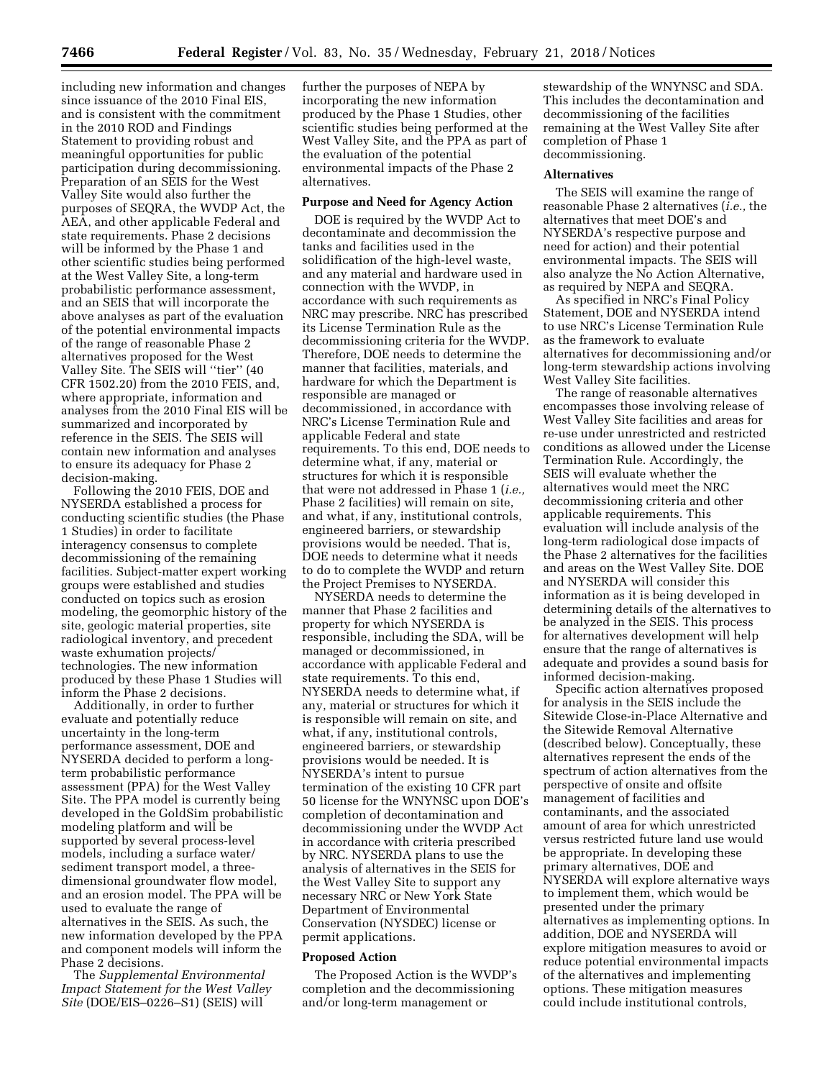including new information and changes since issuance of the 2010 Final EIS, and is consistent with the commitment in the 2010 ROD and Findings Statement to providing robust and meaningful opportunities for public participation during decommissioning. Preparation of an SEIS for the West Valley Site would also further the purposes of SEQRA, the WVDP Act, the AEA, and other applicable Federal and state requirements. Phase 2 decisions will be informed by the Phase 1 and other scientific studies being performed at the West Valley Site, a long-term probabilistic performance assessment, and an SEIS that will incorporate the above analyses as part of the evaluation of the potential environmental impacts of the range of reasonable Phase 2 alternatives proposed for the West Valley Site. The SEIS will ''tier'' (40 CFR 1502.20) from the 2010 FEIS, and, where appropriate, information and analyses from the 2010 Final EIS will be summarized and incorporated by reference in the SEIS. The SEIS will contain new information and analyses to ensure its adequacy for Phase 2 decision-making.

Following the 2010 FEIS, DOE and NYSERDA established a process for conducting scientific studies (the Phase 1 Studies) in order to facilitate interagency consensus to complete decommissioning of the remaining facilities. Subject-matter expert working groups were established and studies conducted on topics such as erosion modeling, the geomorphic history of the site, geologic material properties, site radiological inventory, and precedent waste exhumation projects/ technologies. The new information produced by these Phase 1 Studies will inform the Phase 2 decisions.

Additionally, in order to further evaluate and potentially reduce uncertainty in the long-term performance assessment, DOE and NYSERDA decided to perform a longterm probabilistic performance assessment (PPA) for the West Valley Site. The PPA model is currently being developed in the GoldSim probabilistic modeling platform and will be supported by several process-level models, including a surface water/ sediment transport model, a threedimensional groundwater flow model, and an erosion model. The PPA will be used to evaluate the range of alternatives in the SEIS. As such, the new information developed by the PPA and component models will inform the Phase 2 decisions.

The *Supplemental Environmental Impact Statement for the West Valley Site* (DOE/EIS–0226–S1) (SEIS) will

further the purposes of NEPA by incorporating the new information produced by the Phase 1 Studies, other scientific studies being performed at the West Valley Site, and the PPA as part of the evaluation of the potential environmental impacts of the Phase 2 alternatives.

### **Purpose and Need for Agency Action**

DOE is required by the WVDP Act to decontaminate and decommission the tanks and facilities used in the solidification of the high-level waste, and any material and hardware used in connection with the WVDP, in accordance with such requirements as NRC may prescribe. NRC has prescribed its License Termination Rule as the decommissioning criteria for the WVDP. Therefore, DOE needs to determine the manner that facilities, materials, and hardware for which the Department is responsible are managed or decommissioned, in accordance with NRC's License Termination Rule and applicable Federal and state requirements. To this end, DOE needs to determine what, if any, material or structures for which it is responsible that were not addressed in Phase 1 (*i.e.,*  Phase 2 facilities) will remain on site, and what, if any, institutional controls, engineered barriers, or stewardship provisions would be needed. That is, DOE needs to determine what it needs to do to complete the WVDP and return the Project Premises to NYSERDA.

NYSERDA needs to determine the manner that Phase 2 facilities and property for which NYSERDA is responsible, including the SDA, will be managed or decommissioned, in accordance with applicable Federal and state requirements. To this end, NYSERDA needs to determine what, if any, material or structures for which it is responsible will remain on site, and what, if any, institutional controls, engineered barriers, or stewardship provisions would be needed. It is NYSERDA's intent to pursue termination of the existing 10 CFR part 50 license for the WNYNSC upon DOE's completion of decontamination and decommissioning under the WVDP Act in accordance with criteria prescribed by NRC. NYSERDA plans to use the analysis of alternatives in the SEIS for the West Valley Site to support any necessary NRC or New York State Department of Environmental Conservation (NYSDEC) license or permit applications.

# **Proposed Action**

The Proposed Action is the WVDP's completion and the decommissioning and/or long-term management or

stewardship of the WNYNSC and SDA. This includes the decontamination and decommissioning of the facilities remaining at the West Valley Site after completion of Phase 1 decommissioning.

#### **Alternatives**

The SEIS will examine the range of reasonable Phase 2 alternatives (*i.e.,* the alternatives that meet DOE's and NYSERDA's respective purpose and need for action) and their potential environmental impacts. The SEIS will also analyze the No Action Alternative, as required by NEPA and SEQRA.

As specified in NRC's Final Policy Statement, DOE and NYSERDA intend to use NRC's License Termination Rule as the framework to evaluate alternatives for decommissioning and/or long-term stewardship actions involving West Valley Site facilities.

The range of reasonable alternatives encompasses those involving release of West Valley Site facilities and areas for re-use under unrestricted and restricted conditions as allowed under the License Termination Rule. Accordingly, the SEIS will evaluate whether the alternatives would meet the NRC decommissioning criteria and other applicable requirements. This evaluation will include analysis of the long-term radiological dose impacts of the Phase 2 alternatives for the facilities and areas on the West Valley Site. DOE and NYSERDA will consider this information as it is being developed in determining details of the alternatives to be analyzed in the SEIS. This process for alternatives development will help ensure that the range of alternatives is adequate and provides a sound basis for informed decision-making.

Specific action alternatives proposed for analysis in the SEIS include the Sitewide Close-in-Place Alternative and the Sitewide Removal Alternative (described below). Conceptually, these alternatives represent the ends of the spectrum of action alternatives from the perspective of onsite and offsite management of facilities and contaminants, and the associated amount of area for which unrestricted versus restricted future land use would be appropriate. In developing these primary alternatives, DOE and NYSERDA will explore alternative ways to implement them, which would be presented under the primary alternatives as implementing options. In addition, DOE and NYSERDA will explore mitigation measures to avoid or reduce potential environmental impacts of the alternatives and implementing options. These mitigation measures could include institutional controls,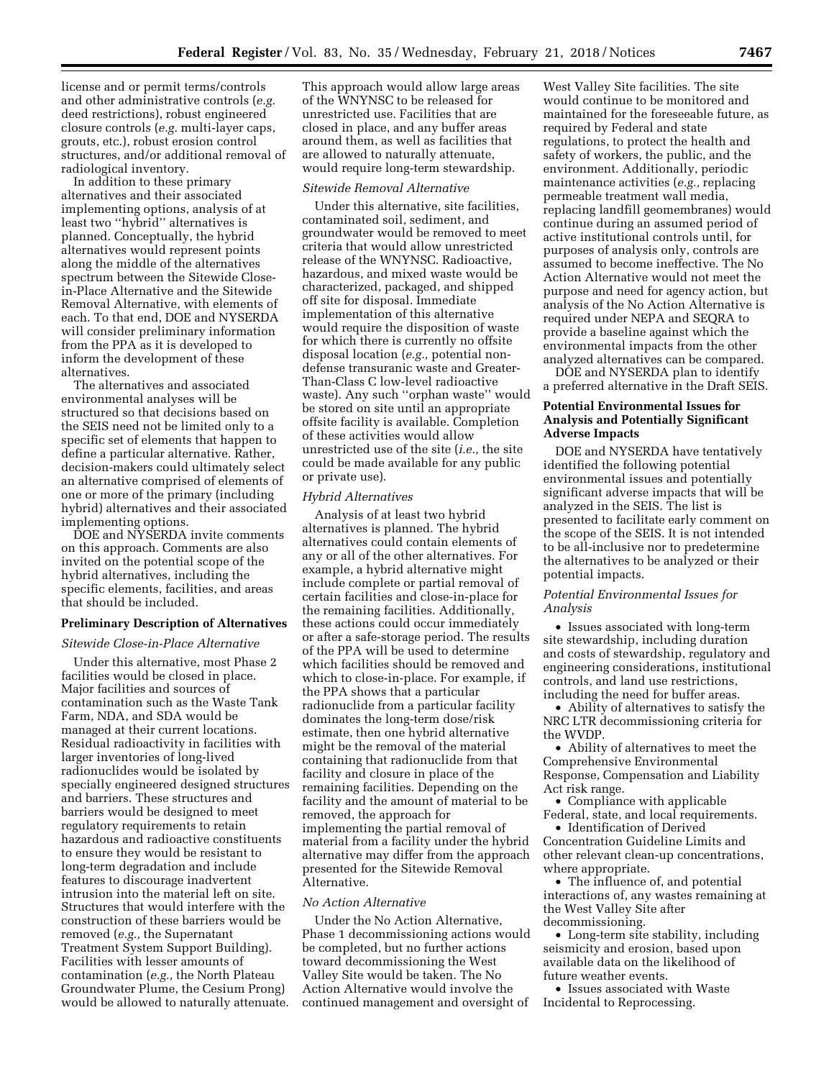license and or permit terms/controls and other administrative controls (*e.g.*  deed restrictions), robust engineered closure controls (*e.g.* multi-layer caps, grouts, etc.), robust erosion control structures, and/or additional removal of radiological inventory.

In addition to these primary alternatives and their associated implementing options, analysis of at least two ''hybrid'' alternatives is planned. Conceptually, the hybrid alternatives would represent points along the middle of the alternatives spectrum between the Sitewide Closein-Place Alternative and the Sitewide Removal Alternative, with elements of each. To that end, DOE and NYSERDA will consider preliminary information from the PPA as it is developed to inform the development of these alternatives.

The alternatives and associated environmental analyses will be structured so that decisions based on the SEIS need not be limited only to a specific set of elements that happen to define a particular alternative. Rather, decision-makers could ultimately select an alternative comprised of elements of one or more of the primary (including hybrid) alternatives and their associated implementing options.

DOE and NYSERDA invite comments on this approach. Comments are also invited on the potential scope of the hybrid alternatives, including the specific elements, facilities, and areas that should be included.

#### **Preliminary Description of Alternatives**

#### *Sitewide Close-in-Place Alternative*

Under this alternative, most Phase 2 facilities would be closed in place. Major facilities and sources of contamination such as the Waste Tank Farm, NDA, and SDA would be managed at their current locations. Residual radioactivity in facilities with larger inventories of long-lived radionuclides would be isolated by specially engineered designed structures and barriers. These structures and barriers would be designed to meet regulatory requirements to retain hazardous and radioactive constituents to ensure they would be resistant to long-term degradation and include features to discourage inadvertent intrusion into the material left on site. Structures that would interfere with the construction of these barriers would be removed (*e.g.,* the Supernatant Treatment System Support Building). Facilities with lesser amounts of contamination (*e.g.,* the North Plateau Groundwater Plume, the Cesium Prong) would be allowed to naturally attenuate.

This approach would allow large areas of the WNYNSC to be released for unrestricted use. Facilities that are closed in place, and any buffer areas around them, as well as facilities that are allowed to naturally attenuate, would require long-term stewardship.

# *Sitewide Removal Alternative*

Under this alternative, site facilities, contaminated soil, sediment, and groundwater would be removed to meet criteria that would allow unrestricted release of the WNYNSC. Radioactive, hazardous, and mixed waste would be characterized, packaged, and shipped off site for disposal. Immediate implementation of this alternative would require the disposition of waste for which there is currently no offsite disposal location (*e.g.,* potential nondefense transuranic waste and Greater-Than-Class C low-level radioactive waste). Any such ''orphan waste'' would be stored on site until an appropriate offsite facility is available. Completion of these activities would allow unrestricted use of the site (*i.e.,* the site could be made available for any public or private use).

### *Hybrid Alternatives*

Analysis of at least two hybrid alternatives is planned. The hybrid alternatives could contain elements of any or all of the other alternatives. For example, a hybrid alternative might include complete or partial removal of certain facilities and close-in-place for the remaining facilities. Additionally, these actions could occur immediately or after a safe-storage period. The results of the PPA will be used to determine which facilities should be removed and which to close-in-place. For example, if the PPA shows that a particular radionuclide from a particular facility dominates the long-term dose/risk estimate, then one hybrid alternative might be the removal of the material containing that radionuclide from that facility and closure in place of the remaining facilities. Depending on the facility and the amount of material to be removed, the approach for implementing the partial removal of material from a facility under the hybrid alternative may differ from the approach presented for the Sitewide Removal Alternative.

## *No Action Alternative*

Under the No Action Alternative, Phase 1 decommissioning actions would be completed, but no further actions toward decommissioning the West Valley Site would be taken. The No Action Alternative would involve the continued management and oversight of

West Valley Site facilities. The site would continue to be monitored and maintained for the foreseeable future, as required by Federal and state regulations, to protect the health and safety of workers, the public, and the environment. Additionally, periodic maintenance activities (*e.g.,* replacing permeable treatment wall media, replacing landfill geomembranes) would continue during an assumed period of active institutional controls until, for purposes of analysis only, controls are assumed to become ineffective. The No Action Alternative would not meet the purpose and need for agency action, but analysis of the No Action Alternative is required under NEPA and SEQRA to provide a baseline against which the environmental impacts from the other analyzed alternatives can be compared.

DOE and NYSERDA plan to identify a preferred alternative in the Draft SEIS.

# **Potential Environmental Issues for Analysis and Potentially Significant Adverse Impacts**

DOE and NYSERDA have tentatively identified the following potential environmental issues and potentially significant adverse impacts that will be analyzed in the SEIS. The list is presented to facilitate early comment on the scope of the SEIS. It is not intended to be all-inclusive nor to predetermine the alternatives to be analyzed or their potential impacts.

# *Potential Environmental Issues for Analysis*

• Issues associated with long-term site stewardship, including duration and costs of stewardship, regulatory and engineering considerations, institutional controls, and land use restrictions, including the need for buffer areas.

• Ability of alternatives to satisfy the NRC LTR decommissioning criteria for the WVDP.

• Ability of alternatives to meet the Comprehensive Environmental Response, Compensation and Liability Act risk range.

• Compliance with applicable Federal, state, and local requirements.

• Identification of Derived Concentration Guideline Limits and other relevant clean-up concentrations, where appropriate.

• The influence of, and potential interactions of, any wastes remaining at the West Valley Site after decommissioning.

• Long-term site stability, including seismicity and erosion, based upon available data on the likelihood of future weather events.

• Issues associated with Waste Incidental to Reprocessing.